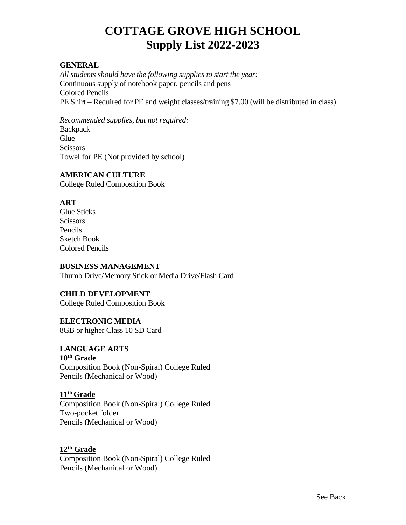# **COTTAGE GROVE HIGH SCHOOL Supply List 2022-2023**

#### **GENERAL**

*All students should have the following supplies to start the year:* Continuous supply of notebook paper, pencils and pens Colored Pencils PE Shirt – Required for PE and weight classes/training \$7.00 (will be distributed in class)

*Recommended supplies, but not required:* **Backpack Glue Scissors** Towel for PE (Not provided by school)

### **AMERICAN CULTURE**

College Ruled Composition Book

### **ART**

Glue Sticks **Scissors** Pencils Sketch Book Colored Pencils

#### **BUSINESS MANAGEMENT**

Thumb Drive/Memory Stick or Media Drive/Flash Card

#### **CHILD DEVELOPMENT**

College Ruled Composition Book

#### **ELECTRONIC MEDIA**

8GB or higher Class 10 SD Card

#### **LANGUAGE ARTS**

#### **10th Grade**

Composition Book (Non-Spiral) College Ruled Pencils (Mechanical or Wood)

#### **11 th Grade**

Composition Book (Non-Spiral) College Ruled Two-pocket folder Pencils (Mechanical or Wood)

#### **12th Grade**

Composition Book (Non-Spiral) College Ruled Pencils (Mechanical or Wood)